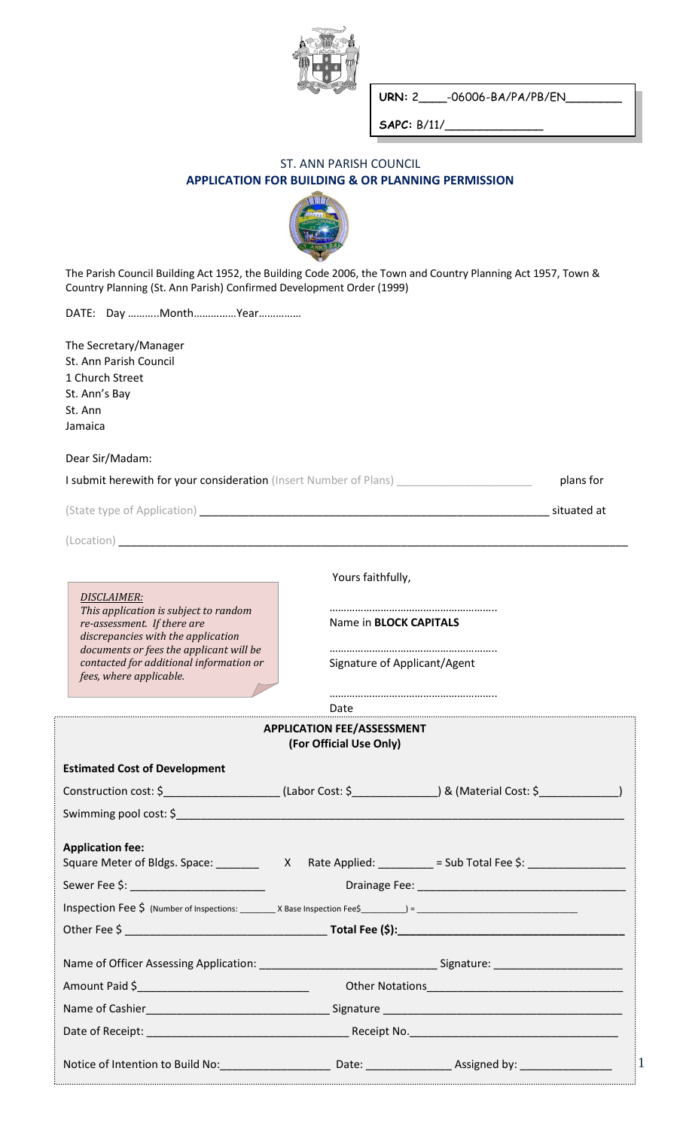

**URN:** 2\_\_\_\_-06006-BA/PA/PB/EN\_\_\_\_\_\_\_\_

**SAPC:** B/11/\_\_\_\_\_\_\_\_\_\_\_\_\_\_

# ST. ANN PARISH COUNCIL **APPLICATION FOR BUILDING & OR PLANNING PERMISSION**



The Parish Council Building Act 1952, the Building Code 2006, the Town and Country Planning Act 1957, Town & Country Planning (St. Ann Parish) Confirmed Development Order (1999)

DATE: Day ………..Month……………Year……………

| The Secretary/Manager  |
|------------------------|
| St. Ann Parish Council |
| 1 Church Street        |
| St. Ann's Bay          |
| St. Ann                |
| Jamaica                |
|                        |

### Dear Sir/Madam:

| <b>I submit herewith for your consideration</b> (Insert Number of Plans) |  | plans for |
|--------------------------------------------------------------------------|--|-----------|
|--------------------------------------------------------------------------|--|-----------|

(State type of Application) \_\_\_\_\_\_\_\_\_\_\_\_\_\_\_\_\_\_\_\_\_\_\_\_\_\_\_\_\_\_\_\_\_\_\_\_\_\_\_\_\_\_\_\_\_\_\_\_\_\_\_\_\_\_\_\_\_ situated at

*fees, where applicable.*

(Location) \_\_\_\_\_\_\_\_\_\_\_\_\_\_\_\_\_\_\_\_\_\_\_\_\_\_\_\_\_\_\_\_\_\_\_\_\_\_\_\_\_\_\_\_\_\_\_\_\_\_\_\_\_\_\_\_\_\_\_\_\_\_\_\_\_\_\_\_\_\_\_\_\_\_\_\_\_\_\_\_\_\_\_

*DISCLAIMER:*

**Estimated Cost of Development**

Yours faithfully,

*This application is subject to random re-assessment. If there are discrepancies with the application documents or fees the applicant will be contacted for additional information or* 

………………………………………………….. Name in **BLOCK CAPITALS**

………………………………………………….. Signature of Applicant/Agent

…………………………………………………..

1

Date

### **APPLICATION FEE/ASSESSMENT (For Official Use Only)**

| Estimated Cost of Development                                                             |  |  |  |
|-------------------------------------------------------------------------------------------|--|--|--|
|                                                                                           |  |  |  |
|                                                                                           |  |  |  |
| <b>Application fee:</b>                                                                   |  |  |  |
|                                                                                           |  |  |  |
|                                                                                           |  |  |  |
|                                                                                           |  |  |  |
|                                                                                           |  |  |  |
|                                                                                           |  |  |  |
|                                                                                           |  |  |  |
|                                                                                           |  |  |  |
| Notice of Intention to Build No: Change and Date: Change Assigned by: Change Assigned by: |  |  |  |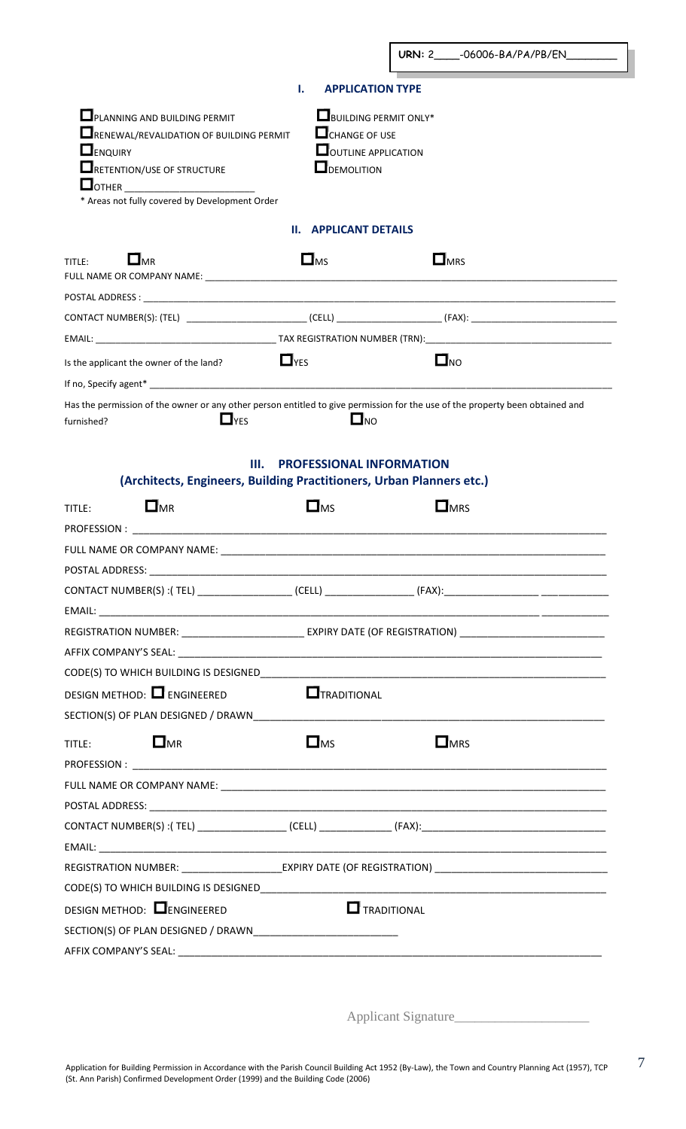|                                                                                                                                                                                                                                                | <b>APPLICATION TYPE</b><br>ı.                                                                            |                          |  |
|------------------------------------------------------------------------------------------------------------------------------------------------------------------------------------------------------------------------------------------------|----------------------------------------------------------------------------------------------------------|--------------------------|--|
| $\Box$ PLANNING AND BUILDING PERMIT<br><b>LE</b> RENEWAL/REVALIDATION OF BUILDING PERMIT<br>$\Box$ ENQUIRY<br><b>E</b> RETENTION/USE OF STRUCTURE<br><b>DOTHER</b> _________________________<br>* Areas not fully covered by Development Order | <b>BUILDING PERMIT ONLY*</b><br>$\Box$ CHANGE OF USE<br><b>DOUTLINE APPLICATION</b><br>$\Box$ DEMOLITION |                          |  |
|                                                                                                                                                                                                                                                | <b>II. APPLICANT DETAILS</b>                                                                             |                          |  |
| $\square$ <sub>MR</sub><br>TITLE:                                                                                                                                                                                                              | $\square$ <sub>MS</sub>                                                                                  | $\square$ <sub>MRS</sub> |  |
|                                                                                                                                                                                                                                                |                                                                                                          |                          |  |
|                                                                                                                                                                                                                                                |                                                                                                          |                          |  |
|                                                                                                                                                                                                                                                |                                                                                                          |                          |  |
| $\Box$ YES<br>Is the applicant the owner of the land?                                                                                                                                                                                          |                                                                                                          | $\square_{\sf NO}$       |  |
|                                                                                                                                                                                                                                                |                                                                                                          |                          |  |
| Has the permission of the owner or any other person entitled to give permission for the use of the property been obtained and<br>$\Box$ YES<br>furnished?                                                                                      | $\Box$ NO                                                                                                |                          |  |
| <b>PROFESSIONAL INFORMATION</b><br>Ш.<br>(Architects, Engineers, Building Practitioners, Urban Planners etc.)                                                                                                                                  |                                                                                                          |                          |  |
| $\Box$ MR<br>TITLE:                                                                                                                                                                                                                            | $\Box$ MS                                                                                                | $\square$ MRS            |  |

| TH LET<br><u>is in the set of the set of the set of the set of the set of the set of the set of the set of the set of the s</u> |                                                                                                                 | <b>LUI</b> ND                                                                                                 | ш мкэ                    |  |
|---------------------------------------------------------------------------------------------------------------------------------|-----------------------------------------------------------------------------------------------------------------|---------------------------------------------------------------------------------------------------------------|--------------------------|--|
|                                                                                                                                 |                                                                                                                 |                                                                                                               |                          |  |
|                                                                                                                                 |                                                                                                                 |                                                                                                               |                          |  |
|                                                                                                                                 |                                                                                                                 |                                                                                                               |                          |  |
|                                                                                                                                 |                                                                                                                 |                                                                                                               |                          |  |
|                                                                                                                                 |                                                                                                                 |                                                                                                               |                          |  |
|                                                                                                                                 | REGISTRATION NUMBER: __________________________ EXPIRY DATE (OF REGISTRATION) ____________________________      |                                                                                                               |                          |  |
|                                                                                                                                 | AFFIX COMPANY'S SEAL: A COMPANY'S SEAL AND A COMPANY OF THE COMPANY'S SEAL AND A COMPANY'S SEAL AND A COMPANY'S |                                                                                                               |                          |  |
|                                                                                                                                 |                                                                                                                 |                                                                                                               |                          |  |
|                                                                                                                                 | DESIGN METHOD: $\Box$ ENGINEERED                                                                                | <b>T</b> TRADITIONAL                                                                                          |                          |  |
|                                                                                                                                 |                                                                                                                 |                                                                                                               |                          |  |
| TITLE:                                                                                                                          | $\square$ <sub>MR</sub>                                                                                         | $\square$ <sub>MS</sub>                                                                                       | $\square$ <sub>MRS</sub> |  |
|                                                                                                                                 |                                                                                                                 |                                                                                                               |                          |  |
|                                                                                                                                 |                                                                                                                 |                                                                                                               |                          |  |
|                                                                                                                                 |                                                                                                                 |                                                                                                               |                          |  |
|                                                                                                                                 |                                                                                                                 |                                                                                                               |                          |  |
|                                                                                                                                 |                                                                                                                 |                                                                                                               |                          |  |
|                                                                                                                                 |                                                                                                                 | REGISTRATION NUMBER: _________________________EXPIRY DATE (OF REGISTRATION) _________________________________ |                          |  |
|                                                                                                                                 |                                                                                                                 |                                                                                                               |                          |  |
|                                                                                                                                 |                                                                                                                 |                                                                                                               |                          |  |
|                                                                                                                                 | DESIGN METHOD: ENGINEERED                                                                                       | $\Box$ TRADITIONAL                                                                                            |                          |  |
|                                                                                                                                 |                                                                                                                 |                                                                                                               |                          |  |
|                                                                                                                                 |                                                                                                                 |                                                                                                               |                          |  |

Applicant Signature\_\_\_\_\_\_\_\_\_\_\_\_\_\_\_\_\_\_\_\_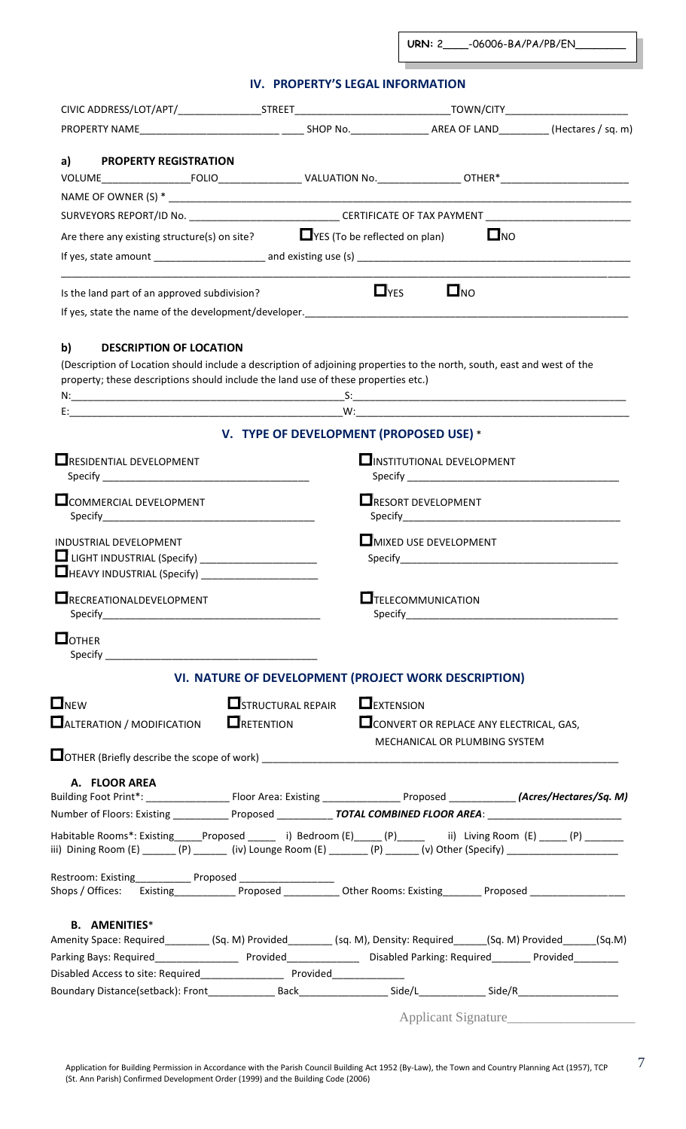# **IV. PROPERTY'S LEGAL INFORMATION**

| a)<br><b>PROPERTY REGISTRATION</b>                                                                                                                                                                                                            |                                                      |  |                                                |                               |                     |
|-----------------------------------------------------------------------------------------------------------------------------------------------------------------------------------------------------------------------------------------------|------------------------------------------------------|--|------------------------------------------------|-------------------------------|---------------------|
|                                                                                                                                                                                                                                               |                                                      |  |                                                |                               |                     |
|                                                                                                                                                                                                                                               |                                                      |  |                                                |                               |                     |
| SURVEYORS REPORT/ID No. ________________________________CERTIFICATE OF TAX PAYMENT ___________________________                                                                                                                                |                                                      |  |                                                |                               |                     |
| Are there any existing structure(s) on site?                                                                                                                                                                                                  |                                                      |  | $\Box$ YES (To be reflected on plan)           | $\square$ NO                  |                     |
|                                                                                                                                                                                                                                               |                                                      |  |                                                |                               |                     |
| Is the land part of an approved subdivision?                                                                                                                                                                                                  |                                                      |  | $\Box$ YES                                     | $\square$ <sub>NO</sub>       |                     |
|                                                                                                                                                                                                                                               |                                                      |  |                                                |                               |                     |
| b)<br><b>DESCRIPTION OF LOCATION</b>                                                                                                                                                                                                          |                                                      |  |                                                |                               |                     |
| (Description of Location should include a description of adjoining properties to the north, south, east and west of the                                                                                                                       |                                                      |  |                                                |                               |                     |
| property; these descriptions should include the land use of these properties etc.)                                                                                                                                                            |                                                      |  |                                                |                               |                     |
|                                                                                                                                                                                                                                               |                                                      |  |                                                |                               |                     |
|                                                                                                                                                                                                                                               |                                                      |  | V. TYPE OF DEVELOPMENT (PROPOSED USE) *        |                               |                     |
| <b>TRESIDENTIAL DEVELOPMENT</b>                                                                                                                                                                                                               |                                                      |  | <b>TINSTITUTIONAL DEVELOPMENT</b>              |                               |                     |
| <b>COMMERCIAL DEVELOPMENT</b>                                                                                                                                                                                                                 |                                                      |  | <b>ERESORT DEVELOPMENT</b>                     |                               |                     |
| INDUSTRIAL DEVELOPMENT<br><b>U</b> LIGHT INDUSTRIAL (Specify) _________________________                                                                                                                                                       |                                                      |  | <b>HEMIXED USE DEVELOPMENT</b>                 |                               |                     |
| <b>NECREATIONALDEVELOPMENT</b>                                                                                                                                                                                                                |                                                      |  | $\Box$ TELECOMMUNICATION                       |                               |                     |
| $\Box$ OTHER                                                                                                                                                                                                                                  |                                                      |  |                                                |                               |                     |
|                                                                                                                                                                                                                                               | VI. NATURE OF DEVELOPMENT (PROJECT WORK DESCRIPTION) |  |                                                |                               |                     |
| <b>LI</b> NEW                                                                                                                                                                                                                                 |                                                      |  | $\Box$ STRUCTURAL REPAIR $\Box$ EXTENSION      |                               |                     |
| $\Box$ ALTERATION / MODIFICATION                                                                                                                                                                                                              | $\Box$ RETENTION                                     |  | $\Box$ CONVERT OR REPLACE ANY ELECTRICAL, GAS, | MECHANICAL OR PLUMBING SYSTEM |                     |
|                                                                                                                                                                                                                                               |                                                      |  |                                                |                               |                     |
| A. FLOOR AREA<br>Building Foot Print*: ________________________Floor Area: Existing _________________________Proposed _______________(Acres/Hectares/Sq. M)                                                                                   |                                                      |  |                                                |                               |                     |
|                                                                                                                                                                                                                                               |                                                      |  |                                                |                               |                     |
| Habitable Rooms*: Existing_____Proposed _______ i) Bedroom (E)______ (P)_______ ii) Living Room (E) _____ (P) ______<br>iii) Dining Room (E) ______ (P) ______ (iv) Lounge Room (E) ______ (P) ______ (v) Other (Specify) ___________________ |                                                      |  |                                                |                               |                     |
| Restroom: Existing_____________Proposed ___________________________Other Rooms: Existing_________ Proposed ___________________________<br>Shops / Offices:  Existing________________Proposed _____________Other Rooms: Existing__             |                                                      |  |                                                |                               |                     |
| <b>B. AMENITIES*</b><br>Amenity Space: Required__________ (Sq. M) Provided_________ (sq. M), Density: Required_______(Sq. M) Provided_______(Sq.M)                                                                                            |                                                      |  |                                                |                               |                     |
| Parking Bays: Required________________________Provided_____________________Disabled Parking: Required__________Provided__________                                                                                                             |                                                      |  |                                                |                               |                     |
|                                                                                                                                                                                                                                               |                                                      |  |                                                |                               |                     |
|                                                                                                                                                                                                                                               |                                                      |  |                                                |                               |                     |
|                                                                                                                                                                                                                                               |                                                      |  |                                                |                               | Applicant Signature |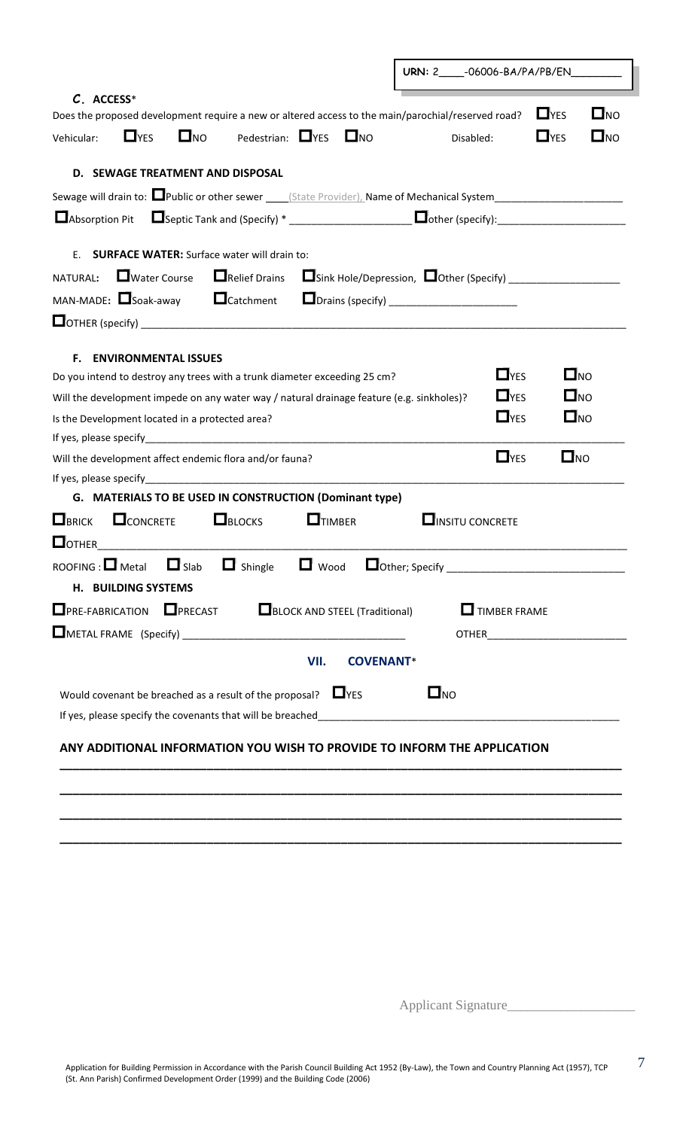|                                                                                                                           | URN: 2_____-06006-BA/PA/PB/EN________      |
|---------------------------------------------------------------------------------------------------------------------------|--------------------------------------------|
| C. ACCESS*                                                                                                                |                                            |
| Does the proposed development require a new or altered access to the main/parochial/reserved road?                        | $\Box$ YES<br>$\mathbf{L}$ NO              |
| $\Box$ YES<br>$\Box$ <sub>NO</sub><br>Pedestrian: $\Box$ YES<br>$\Box$ NO<br>Vehicular:                                   | $\Box$ NO<br>L <sub>YES</sub><br>Disabled: |
| D. SEWAGE TREATMENT AND DISPOSAL                                                                                          |                                            |
| Sewage will drain to: <b>We public or other sewer</b> [State Provider], Name of Mechanical System [State Light] Sewage Mu |                                            |
|                                                                                                                           |                                            |
| <b>SURFACE WATER:</b> Surface water will drain to:<br>Е.                                                                  |                                            |
| $\Box$ Water Course<br>$\Box$ Relief Drains<br><b>NATURAL:</b>                                                            |                                            |
| MAN-MADE: $\Box$ Soak-away $\Box$ Catchment $\Box$ Drains (specify) _____________________                                 |                                            |
|                                                                                                                           |                                            |
| <b>ENVIRONMENTAL ISSUES</b><br>F.                                                                                         |                                            |
| Do you intend to destroy any trees with a trunk diameter exceeding 25 cm?                                                 | $\Box$ YES<br>$\Box_{\rm NO}$              |
| Will the development impede on any water way / natural drainage feature (e.g. sinkholes)?                                 | $\Box_{\rm NO}$<br>$\Box$ YES              |
| Is the Development located in a protected area?                                                                           | $\Box$ YES<br>$\square$ <sub>NO</sub>      |
|                                                                                                                           |                                            |
| Will the development affect endemic flora and/or fauna?                                                                   | $\Box$ YES<br>$\Box_{NO}$                  |
|                                                                                                                           |                                            |
| G. MATERIALS TO BE USED IN CONSTRUCTION (Dominant type)                                                                   |                                            |
| $\Box$ BRICK<br>$\Box$ BLOCKS<br>$\square$ CONCRETE<br><b>OTIMBER</b>                                                     | $\Box$ INSITU CONCRETE                     |
| $\Box$ OTHER                                                                                                              |                                            |
|                                                                                                                           |                                            |
| H. BUILDING SYSTEMS                                                                                                       |                                            |
| $\Box$ PRE-FABRICATION $\Box$ PRECAST $\Box$ BLOCK AND STEEL (Traditional)                                                | $\Box$ TIMBER FRAME                        |
|                                                                                                                           | OTHER_______________________________       |
|                                                                                                                           |                                            |
| VII.<br><b>COVENANT*</b>                                                                                                  |                                            |
| $\Box$ YES<br>Would covenant be breached as a result of the proposal?                                                     | $\Box_{NO}$                                |
|                                                                                                                           |                                            |
|                                                                                                                           |                                            |
| ANY ADDITIONAL INFORMATION YOU WISH TO PROVIDE TO INFORM THE APPLICATION                                                  |                                            |
|                                                                                                                           |                                            |
|                                                                                                                           |                                            |
|                                                                                                                           |                                            |

Applicant Signature\_\_\_\_\_\_\_\_\_\_\_\_\_\_\_\_\_\_\_

**\_\_\_\_\_\_\_\_\_\_\_\_\_\_\_\_\_\_\_\_\_\_\_\_\_\_\_\_\_\_\_\_\_\_\_\_\_\_\_\_\_\_\_\_\_\_\_\_\_\_\_\_\_\_\_\_\_\_\_\_\_\_\_\_\_\_\_\_\_\_\_\_\_\_\_\_\_\_\_\_\_\_\_\_**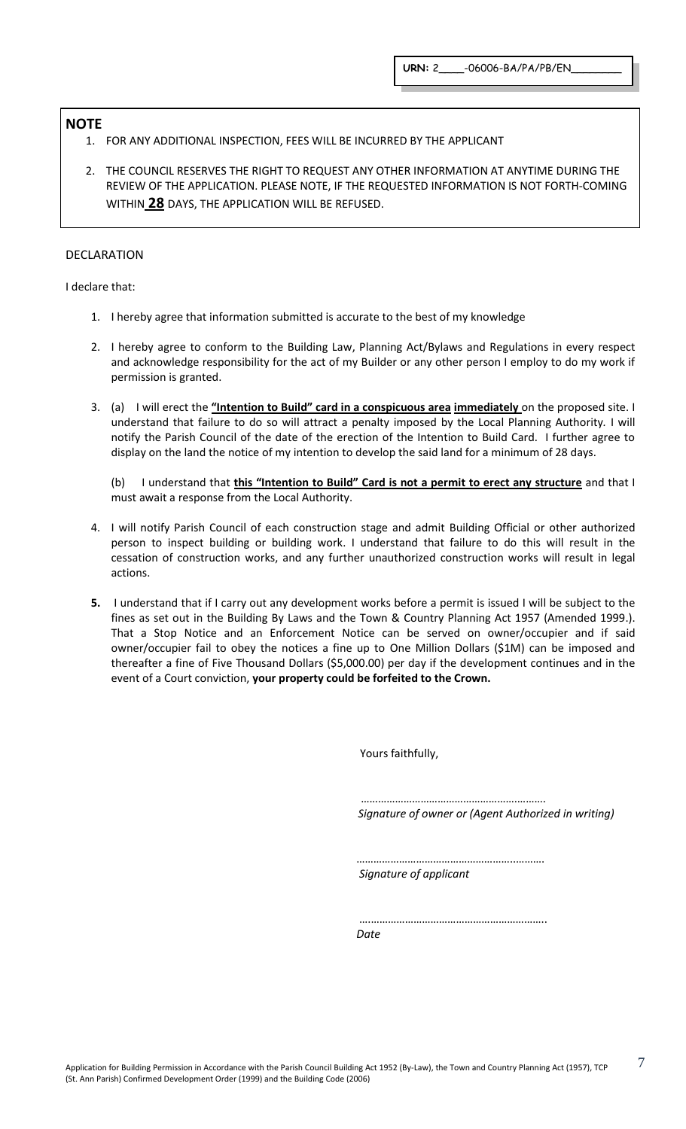### **NOTE**

- 1. FOR ANY ADDITIONAL INSPECTION, FEES WILL BE INCURRED BY THE APPLICANT
- 2. THE COUNCIL RESERVES THE RIGHT TO REQUEST ANY OTHER INFORMATION AT ANYTIME DURING THE REVIEW OF THE APPLICATION. PLEASE NOTE, IF THE REQUESTED INFORMATION IS NOT FORTH-COMING WITHIN **28** DAYS, THE APPLICATION WILL BE REFUSED.

### DECLARATION

I declare that:

- 1. I hereby agree that information submitted is accurate to the best of my knowledge
- 2. I hereby agree to conform to the Building Law, Planning Act/Bylaws and Regulations in every respect and acknowledge responsibility for the act of my Builder or any other person I employ to do my work if permission is granted.
- 3. (a) I will erect the **"Intention to Build" card in a conspicuous area immediately** on the proposed site. I understand that failure to do so will attract a penalty imposed by the Local Planning Authority*.* I will notify the Parish Council of the date of the erection of the Intention to Build Card. I further agree to display on the land the notice of my intention to develop the said land for a minimum of 28 days.

(b)I understand that **this "Intention to Build" Card is not a permit to erect any structure** and that I must await a response from the Local Authority.

- 4. I will notify Parish Council of each construction stage and admit Building Official or other authorized person to inspect building or building work. I understand that failure to do this will result in the cessation of construction works, and any further unauthorized construction works will result in legal actions.
- **5.** I understand that if I carry out any development works before a permit is issued I will be subject to the fines as set out in the Building By Laws and the Town & Country Planning Act 1957 (Amended 1999.). That a Stop Notice and an Enforcement Notice can be served on owner/occupier and if said owner/occupier fail to obey the notices a fine up to One Million Dollars (\$1M) can be imposed and thereafter a fine of Five Thousand Dollars (\$5,000.00) per day if the development continues and in the event of a Court conviction, **your property could be forfeited to the Crown.**

Yours faithfully,

 *Signature of owner or (Agent Authorized in writing)* 

…………………………………………………………  *Signature of applicant*

….……………………………………………………..

……………………………………………….……….

 *Date*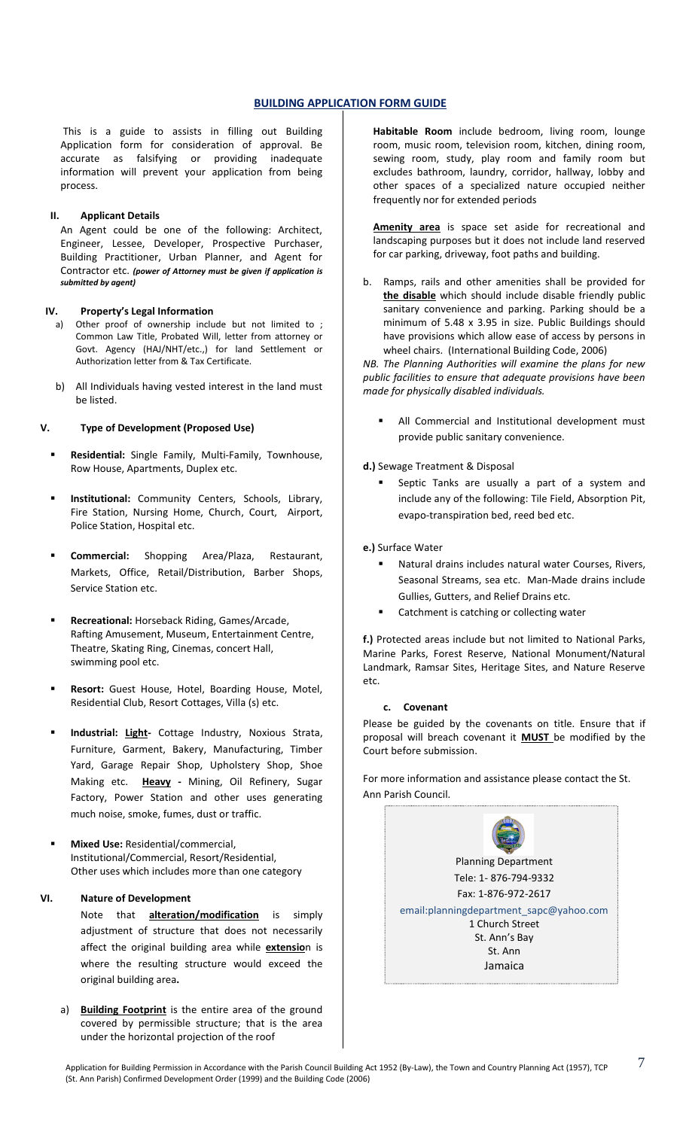### **BUILDING APPLICATION FORM GUIDE**

This is a guide to assists in filling out Building Application form for consideration of approval. Be accurate as falsifying or providing inadequate information will prevent your application from being process.

### **II. Applicant Details**

An Agent could be one of the following: Architect, Engineer, Lessee, Developer, Prospective Purchaser, Building Practitioner, Urban Planner, and Agent for Contractor etc. *(power of Attorney must be given if application is submitted by agent)*

#### **IV. Property's Legal Information**

- a) Other proof of ownership include but not limited to ; Common Law Title, Probated Will, letter from attorney or Govt. Agency (HAJ/NHT/etc.,) for land Settlement or Authorization letter from & Tax Certificate.
- b) All Individuals having vested interest in the land must be listed.

#### **V. Type of Development (Proposed Use)**

- **Residential:** Single Family, Multi-Family, Townhouse, Row House, Apartments, Duplex etc.
- **Institutional:** Community Centers, Schools, Library, Fire Station, Nursing Home, Church, Court, Airport, Police Station, Hospital etc.
- **Commercial:** Shopping Area/Plaza, Restaurant, Markets, Office, Retail/Distribution, Barber Shops, Service Station etc.
- **Recreational:** Horseback Riding, Games/Arcade, Rafting Amusement, Museum, Entertainment Centre, Theatre, Skating Ring, Cinemas, concert Hall, swimming pool etc.
- **Resort:** Guest House, Hotel, Boarding House, Motel, Residential Club, Resort Cottages, Villa (s) etc.
- **Industrial: Light-** Cottage Industry, Noxious Strata, Furniture, Garment, Bakery, Manufacturing, Timber Yard, Garage Repair Shop, Upholstery Shop, Shoe Making etc. **Heavy -** Mining, Oil Refinery, Sugar Factory, Power Station and other uses generating much noise, smoke, fumes, dust or traffic.
- **Mixed Use:** Residential/commercial, Institutional/Commercial, Resort/Residential, Other uses which includes more than one category

### **VI. Nature of Development**

Note that **alteration/modification** is simply adjustment of structure that does not necessarily affect the original building area while **extensio**n is where the resulting structure would exceed the original building area**.** 

a) **Building Footprint** is the entire area of the ground covered by permissible structure; that is the area under the horizontal projection of the roof

**Habitable Room** include bedroom, living room, lounge room, music room, television room, kitchen, dining room, sewing room, study, play room and family room but excludes bathroom, laundry, corridor, hallway, lobby and other spaces of a specialized nature occupied neither frequently nor for extended periods

**Amenity area** is space set aside for recreational and landscaping purposes but it does not include land reserved for car parking, driveway, foot paths and building.

b. Ramps, rails and other amenities shall be provided for **the disable** which should include disable friendly public sanitary convenience and parking. Parking should be a minimum of 5.48 x 3.95 in size. Public Buildings should have provisions which allow ease of access by persons in wheel chairs. (International Building Code, 2006)

*NB. The Planning Authorities will examine the plans for new public facilities to ensure that adequate provisions have been made for physically disabled individuals.* 

 All Commercial and Institutional development must provide public sanitary convenience.

#### **d.)** Sewage Treatment & Disposal

 Septic Tanks are usually a part of a system and include any of the following: Tile Field, Absorption Pit, evapo-transpiration bed, reed bed etc.

#### **e.)** Surface Water

- Natural drains includes natural water Courses, Rivers, Seasonal Streams, sea etc. Man-Made drains include Gullies, Gutters, and Relief Drains etc.
- Catchment is catching or collecting water

**f.)** Protected areas include but not limited to National Parks, Marine Parks, Forest Reserve, National Monument/Natural Landmark, Ramsar Sites, Heritage Sites, and Nature Reserve etc.

#### **c. Covenant**

Please be guided by the covenants on title. Ensure that if proposal will breach covenant it **MUST** be modified by the Court before submission.

For more information and assistance please contact the St. Ann Parish Council.